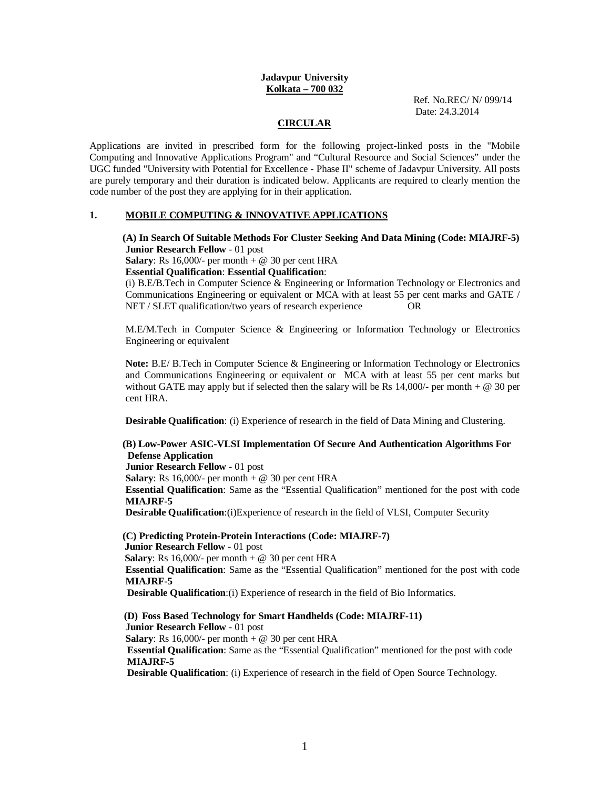### **Jadavpur University Kolkata – 700 032**

Ref. No.REC/ N/ 099/14 Date: 24.3.2014

## **CIRCULAR**

Applications are invited in prescribed form for the following project-linked posts in the "Mobile Computing and Innovative Applications Program" and "Cultural Resource and Social Sciences" under the UGC funded "University with Potential for Excellence - Phase II" scheme of Jadavpur University. All posts are purely temporary and their duration is indicated below. Applicants are required to clearly mention the code number of the post they are applying for in their application.

### **1. MOBILE COMPUTING & INNOVATIVE APPLICATIONS**

 **(A) In Search Of Suitable Methods For Cluster Seeking And Data Mining (Code: MIAJRF-5) Junior Research Fellow** - 01 post

**Salary**: Rs  $16,000/$ - per month + @ 30 per cent HRA

#### **Essential Qualification**: **Essential Qualification**:

(i) B.E/B.Tech in Computer Science & Engineering or Information Technology or Electronics and Communications Engineering or equivalent or MCA with at least 55 per cent marks and GATE / NET / SLET qualification/two years of research experience OR

M.E/M.Tech in Computer Science & Engineering or Information Technology or Electronics Engineering or equivalent

**Note:** B.E/ B.Tech in Computer Science & Engineering or Information Technology or Electronics and Communications Engineering or equivalent or MCA with at least 55 per cent marks but without GATE may apply but if selected then the salary will be Rs  $14,000/$ - per month  $+ \otimes 30$  per cent HRA.

**Desirable Qualification**: (i) Experience of research in the field of Data Mining and Clustering.

# **(B) Low-Power ASIC-VLSI Implementation Of Secure And Authentication Algorithms For Defense Application**

**Junior Research Fellow** - 01 post

**Salary**: Rs 16,000/- per month  $+$  @ 30 per cent HRA

**Essential Qualification**: Same as the "Essential Qualification" mentioned for the post with code **MIAJRF-5**

**Desirable Qualification:**(i)Experience of research in the field of VLSI, Computer Security

 **(C) Predicting Protein-Protein Interactions (Code: MIAJRF-7) Junior Research Fellow** - 01 post **Salary**: Rs 16,000/- per month  $+$  @ 30 per cent HRA **Essential Qualification**: Same as the "Essential Qualification" mentioned for the post with code **MIAJRF-5 Desirable Qualification**:(i) Experience of research in the field of Bio Informatics.

**(D) Foss Based Technology for Smart Handhelds (Code: MIAJRF-11) Junior Research Fellow** - 01 post **Salary**: Rs  $16,000/$ - per month + @ 30 per cent HRA  **Essential Qualification**: Same as the "Essential Qualification" mentioned for the post with code **MIAJRF-5 Desirable Qualification**: (i) Experience of research in the field of Open Source Technology.